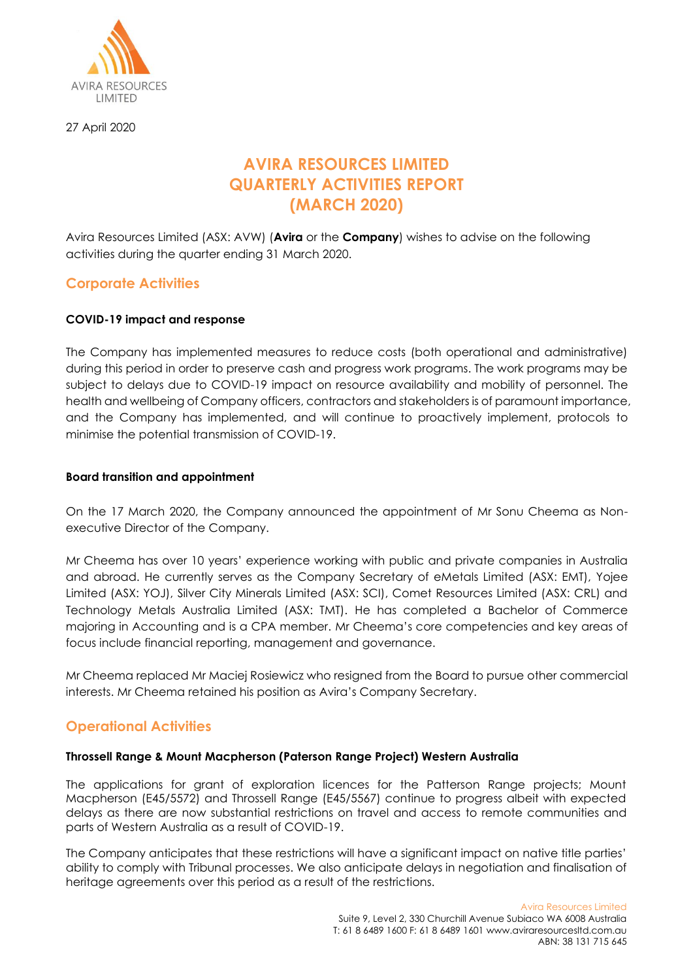

27 April 2020

# **AVIRA RESOURCES LIMITED QUARTERLY ACTIVITIES REPORT (MARCH 2020)**

Avira Resources Limited (ASX: AVW) (**Avira** or the **Company**) wishes to advise on the following activities during the quarter ending 31 March 2020.

## **Corporate Activities**

## **COVID-19 impact and response**

The Company has implemented measures to reduce costs (both operational and administrative) during this period in order to preserve cash and progress work programs. The work programs may be subject to delays due to COVID-19 impact on resource availability and mobility of personnel. The health and wellbeing of Company officers, contractors and stakeholders is of paramount importance, and the Company has implemented, and will continue to proactively implement, protocols to minimise the potential transmission of COVID-19.

## **Board transition and appointment**

On the 17 March 2020, the Company announced the appointment of Mr Sonu Cheema as Nonexecutive Director of the Company.

Mr Cheema has over 10 years' experience working with public and private companies in Australia and abroad. He currently serves as the Company Secretary of eMetals Limited (ASX: EMT), Yojee Limited (ASX: YOJ), Silver City Minerals Limited (ASX: SCI), Comet Resources Limited (ASX: CRL) and Technology Metals Australia Limited (ASX: TMT). He has completed a Bachelor of Commerce majoring in Accounting and is a CPA member. Mr Cheema's core competencies and key areas of focus include financial reporting, management and governance.

Mr Cheema replaced Mr Maciej Rosiewicz who resigned from the Board to pursue other commercial interests. Mr Cheema retained his position as Avira's Company Secretary.

## **Operational Activities**

## **Throssell Range & Mount Macpherson (Paterson Range Project) Western Australia**

The applications for grant of exploration licences for the Patterson Range projects; Mount Macpherson (E45/5572) and Throssell Range (E45/5567) continue to progress albeit with expected delays as there are now substantial restrictions on travel and access to remote communities and parts of Western Australia as a result of COVID-19.

The Company anticipates that these restrictions will have a significant impact on native title parties' ability to comply with Tribunal processes. We also anticipate delays in negotiation and finalisation of heritage agreements over this period as a result of the restrictions.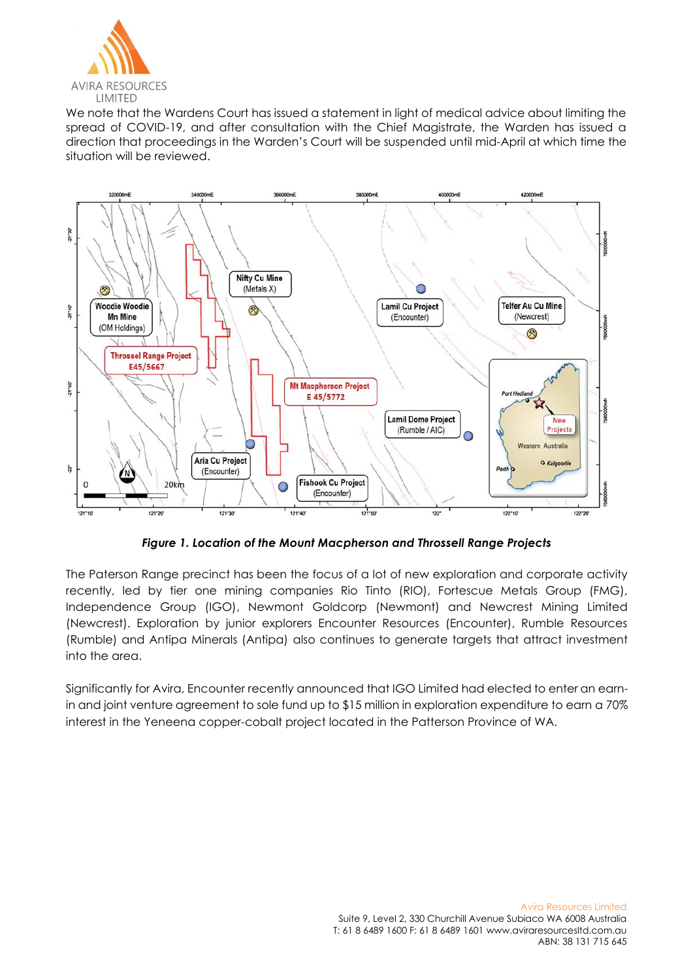

We note that the Wardens Court has issued a statement in light of medical advice about limiting the spread of COVID-19, and after consultation with the Chief Magistrate, the Warden has issued a direction that proceedings in the Warden's Court will be suspended until mid-April at which time the situation will be reviewed.



*Figure 1. Location of the Mount Macpherson and Throssell Range Projects*

The Paterson Range precinct has been the focus of a lot of new exploration and corporate activity recently, led by tier one mining companies Rio Tinto (RIO), Fortescue Metals Group (FMG), Independence Group (IGO), Newmont Goldcorp (Newmont) and Newcrest Mining Limited (Newcrest). Exploration by junior explorers Encounter Resources (Encounter), Rumble Resources (Rumble) and Antipa Minerals (Antipa) also continues to generate targets that attract investment into the area.

Significantly for Avira, Encounter recently announced that IGO Limited had elected to enter an earnin and joint venture agreement to sole fund up to \$15 million in exploration expenditure to earn a 70% interest in the Yeneena copper-cobalt project located in the Patterson Province of WA.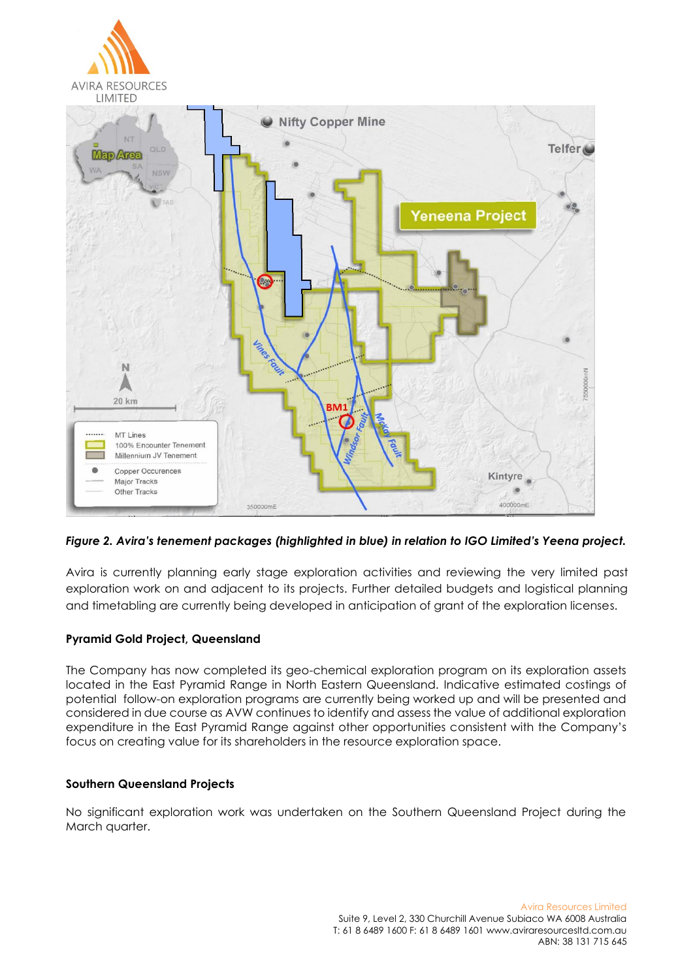

*Figure 2. Avira's tenement packages (highlighted in blue) in relation to IGO Limited's Yeena project.*

Avira is currently planning early stage exploration activities and reviewing the very limited past exploration work on and adjacent to its projects. Further detailed budgets and logistical planning and timetabling are currently being developed in anticipation of grant of the exploration licenses.

## **Pyramid Gold Project, Queensland**

The Company has now completed its geo-chemical exploration program on its exploration assets located in the East Pyramid Range in North Eastern Queensland. Indicative estimated costings of potential follow-on exploration programs are currently being worked up and will be presented and considered in due course as AVW continues to identify and assess the value of additional exploration expenditure in the East Pyramid Range against other opportunities consistent with the Company's focus on creating value for its shareholders in the resource exploration space.

### **Southern Queensland Projects**

No significant exploration work was undertaken on the Southern Queensland Project during the March quarter.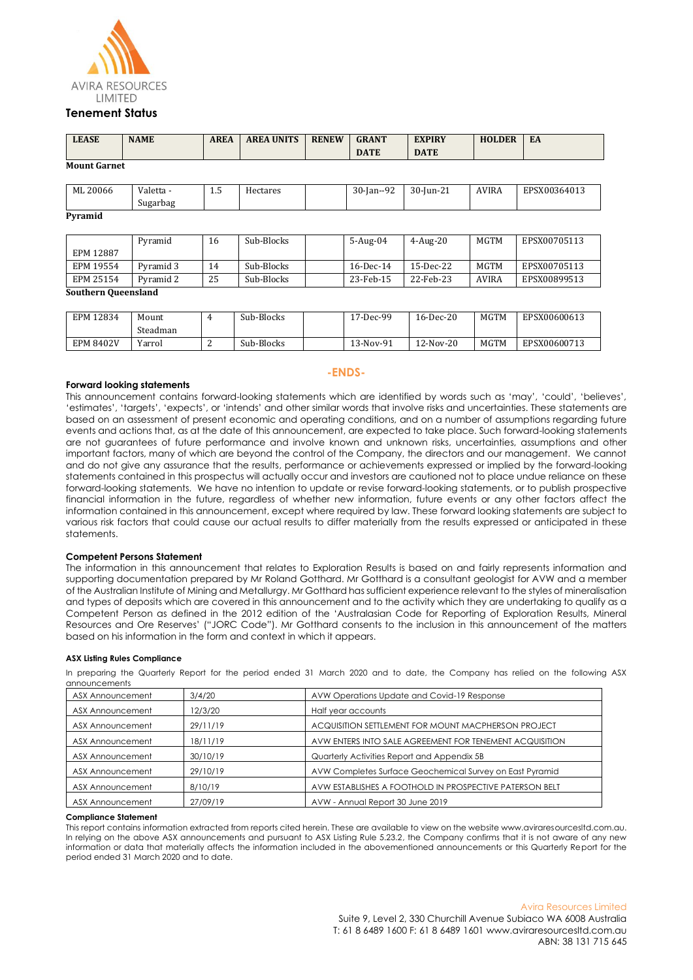

#### **Tenement Status**

| <b>LEASE</b>        | <b>NAME</b> | <b>AREA</b> | <b>AREA UNITS</b> | <b>RENEW</b> | <b>GRANT</b>  | <b>EXPIRY</b> | <b>HOLDER</b> | EA           |
|---------------------|-------------|-------------|-------------------|--------------|---------------|---------------|---------------|--------------|
|                     |             |             |                   |              | <b>DATE</b>   | <b>DATE</b>   |               |              |
| <b>Mount Garnet</b> |             |             |                   |              |               |               |               |              |
|                     |             |             |                   |              |               |               |               |              |
| ML 20066            | Valetta -   | 1.5         | Hectares          |              | $30$ -Jan--92 | $30$ -Jun-21  | <b>AVIRA</b>  | EPSX00364013 |
|                     | Sugarbag    |             |                   |              |               |               |               |              |
| Pyramid             |             |             |                   |              |               |               |               |              |
|                     |             |             |                   |              |               |               |               |              |
|                     | Pyramid     | 16          | Sub-Blocks        |              | $5-Aug-04$    | $4-Aug-20$    | <b>MGTM</b>   | EPSX00705113 |
| EPM 12887           |             |             |                   |              |               |               |               |              |

#### **Southern Queensland**

| EPM 12834        | Mount    |   | Sub-Blocks | 17-Dec-99 | $16$ -Dec-20 | MGTM | EPSX00600613 |
|------------------|----------|---|------------|-----------|--------------|------|--------------|
|                  | Steadman |   |            |           |              |      |              |
| <b>EPM 8402V</b> | Yarrol   | - | Sub-Blocks | 13-Nov-91 | 12-Nov-20    | MGTM | EPSX00600713 |

EPM 19554 Pyramid 3 | 14 | Sub-Blocks | 16-Dec-14 | 15-Dec-22 | MGTM | EPSX00705113 EPM 25154 Pyramid 2 25 Sub-Blocks 23-Feb-15 22-Feb-23 AVIRA EPSX00899513

#### **Forward looking statements**

This announcement contains forward-looking statements which are identified by words such as 'may', 'could', 'believes', 'estimates', 'targets', 'expects', or 'intends' and other similar words that involve risks and uncertainties. These statements are based on an assessment of present economic and operating conditions, and on a number of assumptions regarding future events and actions that, as at the date of this announcement, are expected to take place. Such forward-looking statements are not guarantees of future performance and involve known and unknown risks, uncertainties, assumptions and other important factors, many of which are beyond the control of the Company, the directors and our management. We cannot and do not give any assurance that the results, performance or achievements expressed or implied by the forward-looking statements contained in this prospectus will actually occur and investors are cautioned not to place undue reliance on these forward-looking statements. We have no intention to update or revise forward-looking statements, or to publish prospective financial information in the future, regardless of whether new information, future events or any other factors affect the information contained in this announcement, except where required by law. These forward looking statements are subject to various risk factors that could cause our actual results to differ materially from the results expressed or anticipated in these statements.

**-ENDS-**

#### **Competent Persons Statement**

The information in this announcement that relates to Exploration Results is based on and fairly represents information and supporting documentation prepared by Mr Roland Gotthard. Mr Gotthard is a consultant geologist for AVW and a member of the Australian Institute of Mining and Metallurgy. Mr Gotthard has sufficient experience relevant to the styles of mineralisation and types of deposits which are covered in this announcement and to the activity which they are undertaking to qualify as a Competent Person as defined in the 2012 edition of the 'Australasian Code for Reporting of Exploration Results, Mineral Resources and Ore Reserves' ("JORC Code"). Mr Gotthard consents to the inclusion in this announcement of the matters based on his information in the form and context in which it appears.

#### **ASX Listing Rules Compliance**

In preparing the Quarterly Report for the period ended 31 March 2020 and to date, the Company has relied on the following ASX announcements

| ASX Announcement | 3/4/20   | AVW Operations Update and Covid-19 Response              |
|------------------|----------|----------------------------------------------------------|
| ASX Announcement | 12/3/20  | Half year accounts                                       |
| ASX Announcement | 29/11/19 | ACQUISITION SETTLEMENT FOR MOUNT MACPHERSON PROJECT      |
| ASX Announcement | 18/11/19 | AVW ENTERS INTO SALE AGREEMENT FOR TENEMENT ACQUISITION  |
| ASX Announcement | 30/10/19 | Quarterly Activities Report and Appendix 5B              |
| ASX Announcement | 29/10/19 | AVW Completes Surface Geochemical Survey on East Pyramid |
| ASX Announcement | 8/10/19  | AVW ESTABLISHES A FOOTHOLD IN PROSPECTIVE PATERSON BELT  |
| ASX Announcement | 27/09/19 | AVW - Annual Report 30 June 2019                         |

#### **Compliance Statement**

This report contains information extracted from reports cited herein. These are available to view on the website www.aviraresourcesltd.com.au. In relying on the above ASX announcements and pursuant to ASX Listing Rule 5.23.2, the Company confirms that it is not aware of any new information or data that materially affects the information included in the abovementioned announcements or this Quarterly Report for the period ended 31 March 2020 and to date.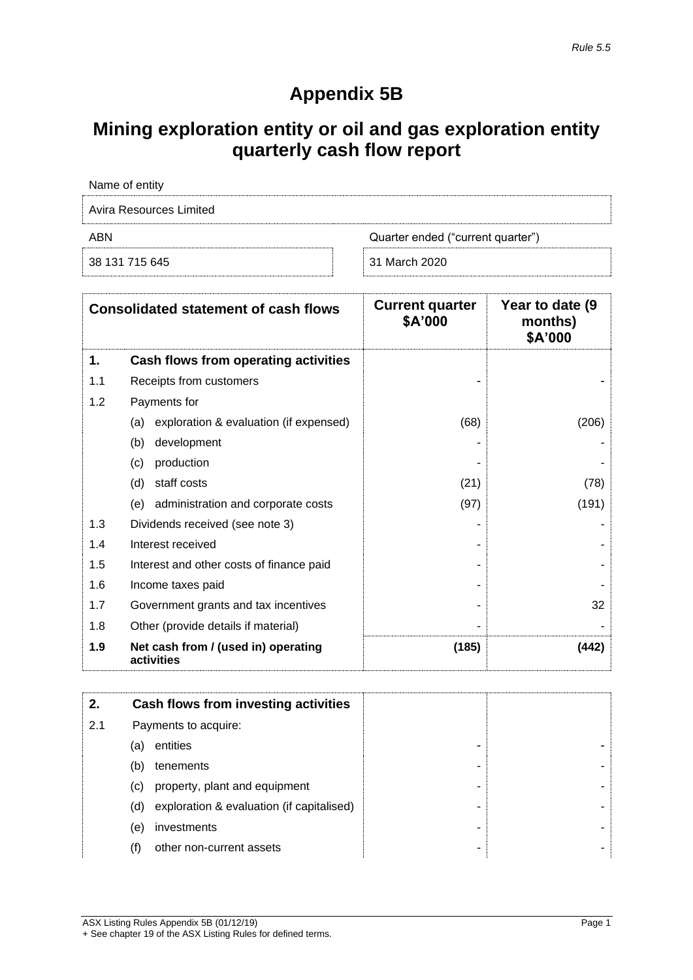# **Appendix 5B**

# **Mining exploration entity or oil and gas exploration entity quarterly cash flow report**

| Name of entity                           |               |  |  |  |
|------------------------------------------|---------------|--|--|--|
| Avira Resources Limited                  |               |  |  |  |
| Quarter ended ("current quarter")<br>ABN |               |  |  |  |
| 38 131 715 645                           | 31 March 2020 |  |  |  |

| <b>Consolidated statement of cash flows</b> |                                                   | <b>Current quarter</b><br>\$A'000 | Year to date (9)<br>months)<br>\$A'000 |
|---------------------------------------------|---------------------------------------------------|-----------------------------------|----------------------------------------|
| 1.                                          | Cash flows from operating activities              |                                   |                                        |
| 1.1                                         | Receipts from customers                           |                                   |                                        |
| 1.2                                         | Payments for                                      |                                   |                                        |
|                                             | exploration & evaluation (if expensed)<br>(a)     | (68)                              | (206)                                  |
|                                             | (b)<br>development                                |                                   |                                        |
|                                             | production<br>(c)                                 |                                   |                                        |
|                                             | (d)<br>staff costs                                | (21)                              | (78)                                   |
|                                             | administration and corporate costs<br>(e)         | (97)                              | (191)                                  |
| 1.3                                         | Dividends received (see note 3)                   |                                   |                                        |
| 1.4                                         | Interest received                                 |                                   |                                        |
| 1.5                                         | Interest and other costs of finance paid          |                                   |                                        |
| 1.6                                         | Income taxes paid                                 |                                   |                                        |
| 1.7                                         | Government grants and tax incentives              |                                   | 32                                     |
| 1.8                                         | Other (provide details if material)               |                                   |                                        |
| 1.9                                         | Net cash from / (used in) operating<br>activities | (185)                             | (442)                                  |

| 2.  |     | Cash flows from investing activities      |   |  |
|-----|-----|-------------------------------------------|---|--|
| 2.1 |     | Payments to acquire:                      |   |  |
|     | (a) | entities                                  | - |  |
|     | (b) | tenements                                 | - |  |
|     | (C) | property, plant and equipment             | - |  |
|     | (d) | exploration & evaluation (if capitalised) | - |  |
|     | (e) | investments                               | - |  |
|     | (f) | other non-current assets                  | - |  |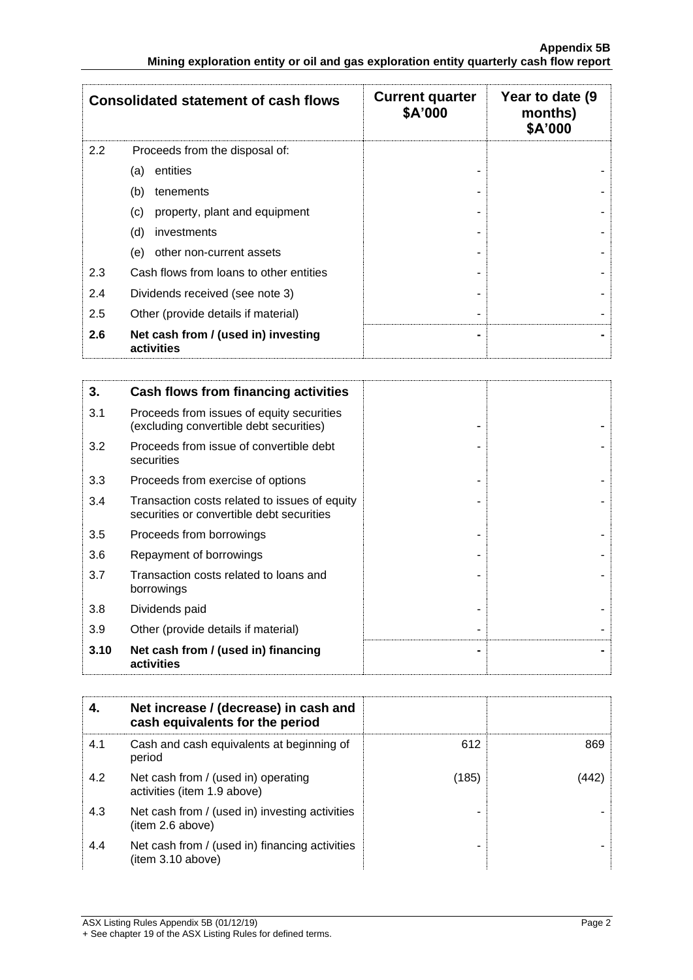|     | <b>Consolidated statement of cash flows</b>       | <b>Current quarter</b><br>\$A'000 | Year to date (9)<br>months)<br>\$A'000 |
|-----|---------------------------------------------------|-----------------------------------|----------------------------------------|
| 2.2 | Proceeds from the disposal of:                    |                                   |                                        |
|     | entities<br>(a)                                   |                                   |                                        |
|     | (b)<br>tenements                                  |                                   |                                        |
|     | property, plant and equipment<br>(c)              |                                   |                                        |
|     | (d)<br>investments                                |                                   |                                        |
|     | other non-current assets<br>(e)                   |                                   |                                        |
| 2.3 | Cash flows from loans to other entities           |                                   |                                        |
| 2.4 | Dividends received (see note 3)                   |                                   |                                        |
| 2.5 | Other (provide details if material)               |                                   |                                        |
| 2.6 | Net cash from / (used in) investing<br>activities | -                                 |                                        |

| 3.   | Cash flows from financing activities                                                       |  |
|------|--------------------------------------------------------------------------------------------|--|
| 3.1  | Proceeds from issues of equity securities<br>(excluding convertible debt securities)       |  |
| 3.2  | Proceeds from issue of convertible debt<br>securities                                      |  |
| 3.3  | Proceeds from exercise of options                                                          |  |
| 3.4  | Transaction costs related to issues of equity<br>securities or convertible debt securities |  |
| 3.5  | Proceeds from borrowings                                                                   |  |
| 3.6  | Repayment of borrowings                                                                    |  |
| 3.7  | Transaction costs related to loans and<br>borrowings                                       |  |
| 3.8  | Dividends paid                                                                             |  |
| 3.9  | Other (provide details if material)                                                        |  |
| 3.10 | Net cash from / (used in) financing<br>activities                                          |  |

|     | Net increase / (decrease) in cash and<br>cash equivalents for the period |       |      |
|-----|--------------------------------------------------------------------------|-------|------|
| 4.1 | Cash and cash equivalents at beginning of<br>period                      | 612   | 869  |
| 4.2 | Net cash from / (used in) operating<br>activities (item 1.9 above)       | (185) | 442' |
| 4.3 | Net cash from / (used in) investing activities<br>(item 2.6 above)       |       |      |
| 4.4 | Net cash from / (used in) financing activities<br>(item 3.10 above)      |       |      |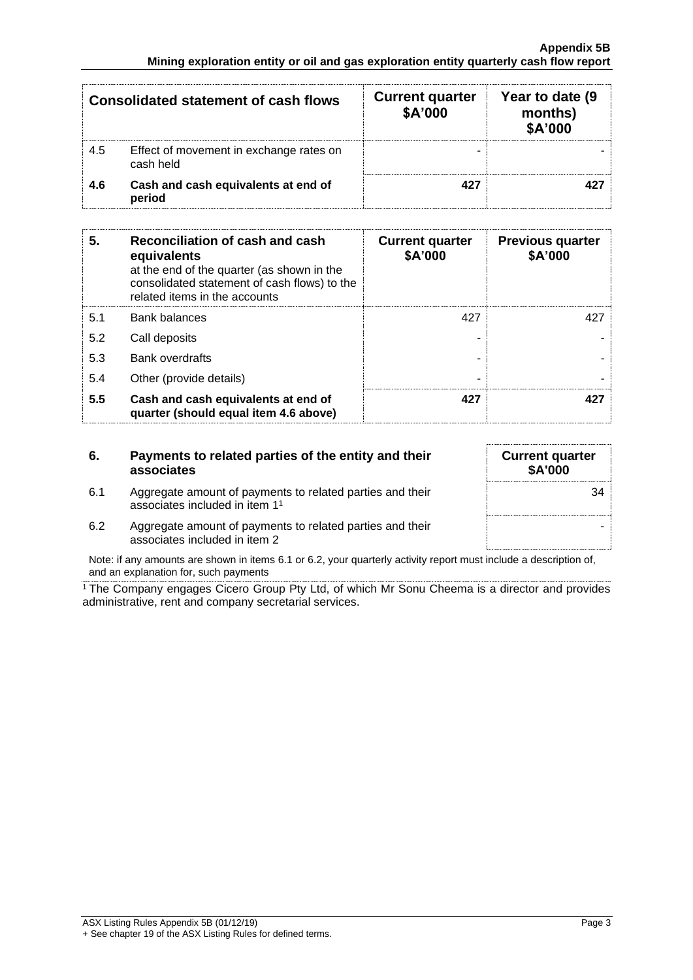| <b>Consolidated statement of cash flows</b> |                                                      | <b>Current quarter</b><br>\$A'000 | Year to date (9)<br>months)<br>\$A'000 |
|---------------------------------------------|------------------------------------------------------|-----------------------------------|----------------------------------------|
| 4.5                                         | Effect of movement in exchange rates on<br>cash held | -                                 |                                        |
| 4.6                                         | Cash and cash equivalents at end of<br>period        | 427                               |                                        |

| 5.  | Reconciliation of cash and cash<br>equivalents<br>at the end of the quarter (as shown in the<br>consolidated statement of cash flows) to the<br>related items in the accounts | <b>Current quarter</b><br>\$A'000 | <b>Previous quarter</b><br>\$A'000 |
|-----|-------------------------------------------------------------------------------------------------------------------------------------------------------------------------------|-----------------------------------|------------------------------------|
| 5.1 | <b>Bank balances</b>                                                                                                                                                          | 427                               | 427                                |
| 5.2 | Call deposits                                                                                                                                                                 |                                   |                                    |
| 5.3 | <b>Bank overdrafts</b>                                                                                                                                                        |                                   |                                    |
| 5.4 | Other (provide details)                                                                                                                                                       | -                                 |                                    |
| 5.5 | Cash and cash equivalents at end of<br>quarter (should equal item 4.6 above)                                                                                                  | 427                               | 427                                |

## **6. Payments to related parties of the entity and their associates**

- 6.1 Aggregate amount of payments to related parties and their associates included in item 1 1
- 6.2 Aggregate amount of payments to related parties and their associates included in item 2

Note: if any amounts are shown in items 6.1 or 6.2, your quarterly activity report must include a description of, and an explanation for, such payments

<sup>1</sup> The Company engages Cicero Group Pty Ltd, of which Mr Sonu Cheema is a director and provides administrative, rent and company secretarial services.

**Current quarter \$A'000** 34 -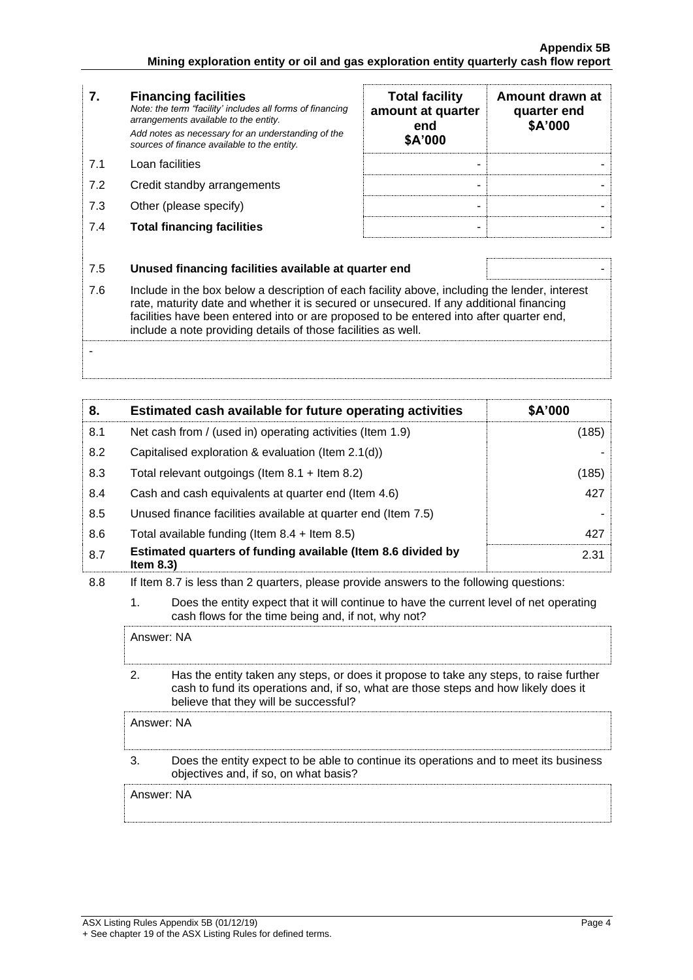| 7.  | <b>Financing facilities</b><br>Note: the term "facility' includes all forms of financing<br>arrangements available to the entity.<br>Add notes as necessary for an understanding of the<br>sources of finance available to the entity.                                                                                                               | <b>Total facility</b><br>amount at quarter<br>end<br>\$A'000 | Amount drawn at<br>quarter end<br>\$A'000 |
|-----|------------------------------------------------------------------------------------------------------------------------------------------------------------------------------------------------------------------------------------------------------------------------------------------------------------------------------------------------------|--------------------------------------------------------------|-------------------------------------------|
| 7.1 | Loan facilities                                                                                                                                                                                                                                                                                                                                      | ۰                                                            |                                           |
| 7.2 | Credit standby arrangements                                                                                                                                                                                                                                                                                                                          |                                                              |                                           |
| 7.3 | Other (please specify)                                                                                                                                                                                                                                                                                                                               |                                                              |                                           |
| 7.4 | <b>Total financing facilities</b>                                                                                                                                                                                                                                                                                                                    |                                                              |                                           |
|     |                                                                                                                                                                                                                                                                                                                                                      |                                                              |                                           |
| 7.5 | Unused financing facilities available at quarter end                                                                                                                                                                                                                                                                                                 |                                                              |                                           |
| 7.6 | Include in the box below a description of each facility above, including the lender, interest<br>rate, maturity date and whether it is secured or unsecured. If any additional financing<br>facilities have been entered into or are proposed to be entered into after quarter end,<br>include a note providing details of those facilities as well. |                                                              |                                           |
|     |                                                                                                                                                                                                                                                                                                                                                      |                                                              |                                           |

| 8.  | Estimated cash available for future operating activities                     | \$A'000 |
|-----|------------------------------------------------------------------------------|---------|
| 8.1 | Net cash from / (used in) operating activities (Item 1.9)                    | (185)   |
| 8.2 | Capitalised exploration & evaluation (Item 2.1(d))                           |         |
| 8.3 | Total relevant outgoings (Item $8.1 +$ Item $8.2$ )                          | (185)   |
| 8.4 | Cash and cash equivalents at quarter end (Item 4.6)                          | 427     |
| 8.5 | Unused finance facilities available at quarter end (Item 7.5)                |         |
| 8.6 | Total available funding (Item $8.4 +$ Item $8.5$ )                           | 427     |
| 8.7 | Estimated quarters of funding available (Item 8.6 divided by<br>Item $8.3$ ) | 2.31    |

- 8.8 If Item 8.7 is less than 2 quarters, please provide answers to the following questions:
	- 1. Does the entity expect that it will continue to have the current level of net operating cash flows for the time being and, if not, why not?

Answer: NA

2. Has the entity taken any steps, or does it propose to take any steps, to raise further cash to fund its operations and, if so, what are those steps and how likely does it believe that they will be successful?

Answer: NA

3. Does the entity expect to be able to continue its operations and to meet its business objectives and, if so, on what basis?

Answer: NA